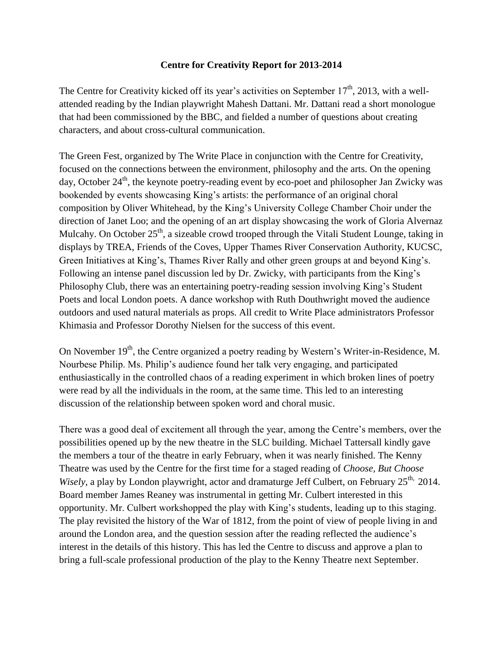## **Centre for Creativity Report for 2013-2014**

The Centre for Creativity kicked off its year's activities on September  $17<sup>th</sup>$ , 2013, with a wellattended reading by the Indian playwright Mahesh Dattani. Mr. Dattani read a short monologue that had been commissioned by the BBC, and fielded a number of questions about creating characters, and about cross-cultural communication.

The Green Fest, organized by The Write Place in conjunction with the Centre for Creativity, focused on the connections between the environment, philosophy and the arts. On the opening day, October  $24<sup>th</sup>$ , the keynote poetry-reading event by eco-poet and philosopher Jan Zwicky was bookended by events showcasing King's artists: the performance of an original choral composition by Oliver Whitehead, by the King's University College Chamber Choir under the direction of Janet Loo; and the opening of an art display showcasing the work of Gloria Alvernaz Mulcahy. On October 25<sup>th</sup>, a sizeable crowd trooped through the Vitali Student Lounge, taking in displays by TREA, Friends of the Coves, Upper Thames River Conservation Authority, KUCSC, Green Initiatives at King's, Thames River Rally and other green groups at and beyond King's. Following an intense panel discussion led by Dr. Zwicky, with participants from the King's Philosophy Club, there was an entertaining poetry-reading session involving King's Student Poets and local London poets. A dance workshop with Ruth Douthwright moved the audience outdoors and used natural materials as props. All credit to Write Place administrators Professor Khimasia and Professor Dorothy Nielsen for the success of this event.

On November 19<sup>th</sup>, the Centre organized a poetry reading by Western's Writer-in-Residence, M. Nourbese Philip. Ms. Philip's audience found her talk very engaging, and participated enthusiastically in the controlled chaos of a reading experiment in which broken lines of poetry were read by all the individuals in the room, at the same time. This led to an interesting discussion of the relationship between spoken word and choral music.

There was a good deal of excitement all through the year, among the Centre's members, over the possibilities opened up by the new theatre in the SLC building. Michael Tattersall kindly gave the members a tour of the theatre in early February, when it was nearly finished. The Kenny Theatre was used by the Centre for the first time for a staged reading of *Choose, But Choose Wisely*, a play by London playwright, actor and dramaturge Jeff Culbert, on February 25<sup>th,</sup> 2014. Board member James Reaney was instrumental in getting Mr. Culbert interested in this opportunity. Mr. Culbert workshopped the play with King's students, leading up to this staging. The play revisited the history of the War of 1812, from the point of view of people living in and around the London area, and the question session after the reading reflected the audience's interest in the details of this history. This has led the Centre to discuss and approve a plan to bring a full-scale professional production of the play to the Kenny Theatre next September.